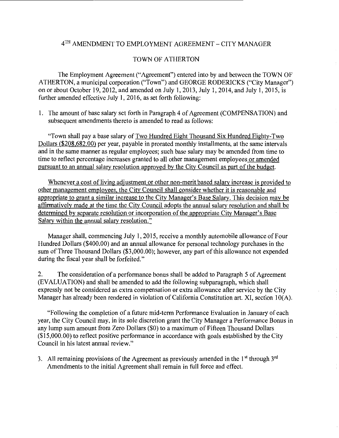## 4TH AMENDMENT TO EMPLOYMENT AGREEMENT- CITY MANAGER

## TOWN OF ATHERTON

The Employment Agreement ("Agreement") entered into by and between the TOWN OF ATHERTON, a municipal corporation ("Town") and GEORGE RODERICKS ("City Manager") on or about October 19,2012, and amended on July I, 2013, July I, 2014, and July I, 2015, is further amended effective July 1, 2016, as set forth following:

I. The amount of base salary set forth in Paragraph 4 of Agreement (COMPENSATION) and subsequent amendments thereto is amended to read as follows:

"Town shall pay a base salary of Two Hundred Eight Thousand Six Hundred Eighty-Two Dollars (\$208,682.00) per year, payable in prorated monthly installments, at the same intervals and in the same manner as regular employees; such base salary may be amended from time to time to reflect percentage increases granted to all other management employees or amended pursuant to an annual salary resolution approved by the City Council as part of the budget.

Whenever a cost of living adjustment or other non-merit based salary increase is provided to other management employees, the City Council shall consider whether it is reasonable and appropriate to grant a similar increase to the City Manager's Base Salary. This decision may be affirmatively made at the time the City Council adopts the annual salary resolution and shall be determined by separate resolution or incorporation of the appropriate City Manager's Base Salary within the annual salary resolution."

Manager shall, commencing July I, 2015, receive a monthly automobile allowance of Four Hundred Dollars (\$400.00) and an annual allowance for personal technology purchases in the sum of Three Thousand Dollars (\$3,000.00); however, any part of this allowance not expended during the fiscal year shall be forfeited."

2. The consideration of a performance bonus shall be added to Paragraph 5 of Agreement (EVALUATION) and shall be amended to add the following subparagraph, which shall expressly not be considered as extra compensation or extra allowance after service by the City Manager has already been rendered in violation of California Constitution art. XI, section IO(A).

"Following the completion of a future mid-term Performance Evaluation in January of each year, the City Council may, in its sole discretion grant the City Manager a Performance Bonus in any lump sum amount from Zero Dollars (\$0) to a maximum of Fifteen Thousand Dollars  $($15,000.00)$  to reflect positive performance in accordance with goals established by the City Council in his latest annual review."

3. All remaining provisions of the Agreement as previously amended in the  $1<sup>st</sup>$  through  $3<sup>rd</sup>$ Amendments to the initial Agreement shall remain in full force and effect.